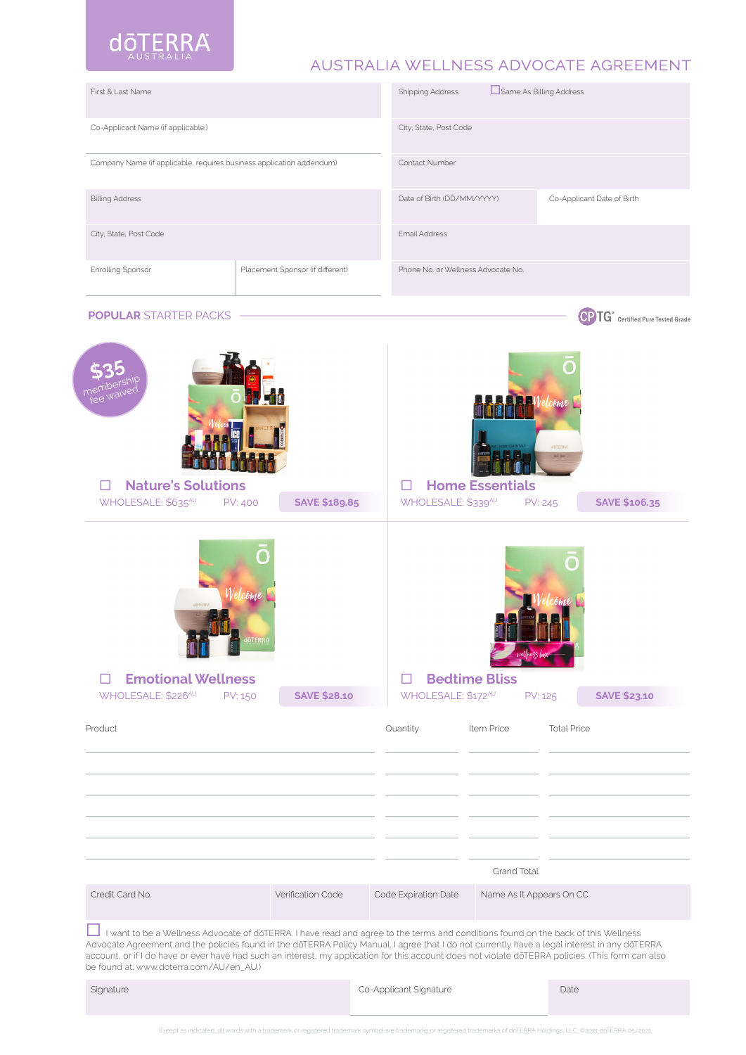

# australia wellness advocate agreement

| First & Last Name                                                                                                                                                                                                                                                                                                                                                                                                                                                                  |                                  | <b>Shipping Address</b>                                                                  | Same As Billing Address            |                    |                                                      |  |
|------------------------------------------------------------------------------------------------------------------------------------------------------------------------------------------------------------------------------------------------------------------------------------------------------------------------------------------------------------------------------------------------------------------------------------------------------------------------------------|----------------------------------|------------------------------------------------------------------------------------------|------------------------------------|--------------------|------------------------------------------------------|--|
| Co-Applicant Name (if applicable;)                                                                                                                                                                                                                                                                                                                                                                                                                                                 |                                  | City, State, Post Code                                                                   |                                    |                    |                                                      |  |
| Company Name (if applicable, requires business application addendum)                                                                                                                                                                                                                                                                                                                                                                                                               | Contact Number                   |                                                                                          |                                    |                    |                                                      |  |
| <b>Billing Address</b>                                                                                                                                                                                                                                                                                                                                                                                                                                                             |                                  | Date of Birth (DD/MM/YYYY)                                                               | Co-Applicant Date of Birth         |                    |                                                      |  |
| City, State, Post Code                                                                                                                                                                                                                                                                                                                                                                                                                                                             | <b>Email Address</b>             |                                                                                          |                                    |                    |                                                      |  |
| Enrolling Sponsor                                                                                                                                                                                                                                                                                                                                                                                                                                                                  | Placement Sponsor (if different) |                                                                                          | Phone No. or Wellness Advocate No. |                    |                                                      |  |
| <b>POPULAR STARTER PACKS</b>                                                                                                                                                                                                                                                                                                                                                                                                                                                       |                                  |                                                                                          |                                    |                    | <b>CPTG</b> <sup>*</sup> Certified Pure Tested Grade |  |
| <b>Nature's Solutions</b>                                                                                                                                                                                                                                                                                                                                                                                                                                                          |                                  |                                                                                          | <b>Home Essentials</b>             | döTERRA<br>$\circ$ |                                                      |  |
| WHOLESALE: \$635AU<br><b>PV: 400</b>                                                                                                                                                                                                                                                                                                                                                                                                                                               | <b>SAVE \$189.85</b>             | WHOLESALE: \$339AU                                                                       |                                    | <b>PV: 245</b>     | <b>SAVE \$106.35</b>                                 |  |
| <b>Emotional Wellness</b><br>WHOLESALE: \$226 <sup>AU</sup><br>PV: 150                                                                                                                                                                                                                                                                                                                                                                                                             | □                                | <b>Bedtime Bliss</b><br>WHOLESALE: \$172 <sup>AU</sup><br><b>SAVE \$23.10</b><br>PV: 125 |                                    |                    |                                                      |  |
| Product                                                                                                                                                                                                                                                                                                                                                                                                                                                                            |                                  | Quantity                                                                                 | Item Price                         | <b>Total Price</b> |                                                      |  |
|                                                                                                                                                                                                                                                                                                                                                                                                                                                                                    |                                  |                                                                                          |                                    |                    |                                                      |  |
|                                                                                                                                                                                                                                                                                                                                                                                                                                                                                    |                                  |                                                                                          |                                    |                    |                                                      |  |
|                                                                                                                                                                                                                                                                                                                                                                                                                                                                                    |                                  |                                                                                          |                                    |                    |                                                      |  |
|                                                                                                                                                                                                                                                                                                                                                                                                                                                                                    |                                  | Grand Total                                                                              |                                    |                    |                                                      |  |
| Credit Card No.<br>Verification Code                                                                                                                                                                                                                                                                                                                                                                                                                                               |                                  | Code Expiration Date                                                                     | Name As It Appears On CC           |                    |                                                      |  |
| I want to be a Wellness Advocate of doTERRA. I have read and agree to the terms and conditions found on the back of this Wellness<br>Advocate Agreement and the policies found in the doTERRA Policy Manual. I agree that I do not currently have a legal interest in any doTERRA<br>account, or if I do have or ever have had such an interest, my application for this account does not violate doTERRA policies. (This form can also<br>be found at: www.doterra.com/AU/en_AU.) |                                  |                                                                                          |                                    |                    |                                                      |  |
| Signature                                                                                                                                                                                                                                                                                                                                                                                                                                                                          |                                  | Co-Applicant Signature                                                                   |                                    | Date               |                                                      |  |